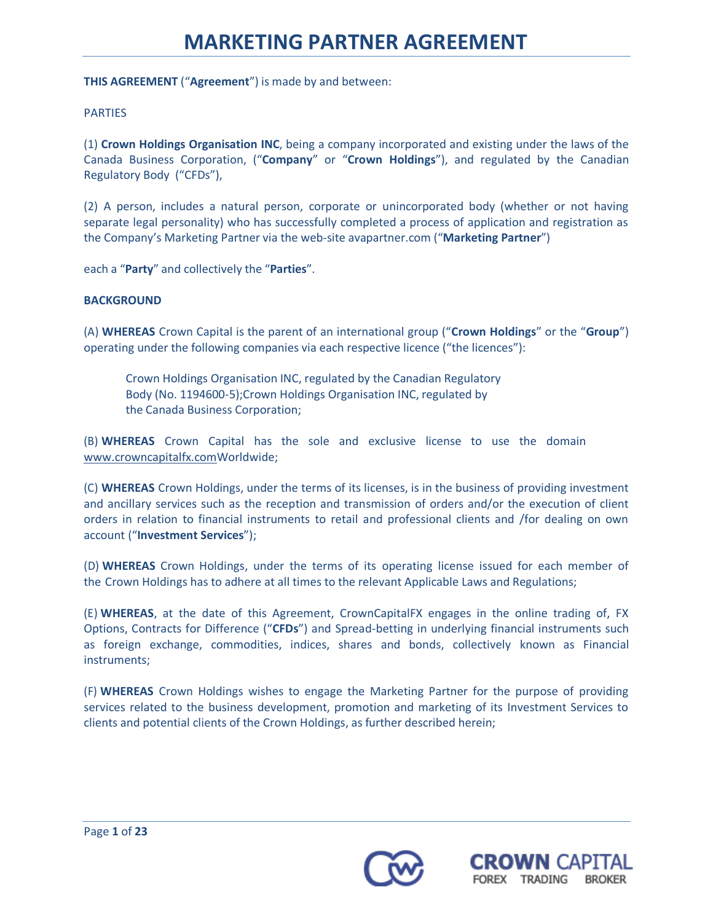**THIS AGREEMENT** ("**Agreement**") is made by and between:

### PARTIES

(1) **Crown Holdings Organisation INC**, being a company incorporated and existing under the laws of the Canada Business Corporation, ("**Company**" or "**Crown Holdings**"), and regulated by the Canadian Regulatory Body ("CFDs"),

(2) A person, includes a natural person, corporate or unincorporated body (whether or not having separate legal personality) who has successfully completed a process of application and registration as the Company's Marketing Partner via the web-site avapartner.com ("**Marketing Partner**")

each a "**Party**" and collectively the "**Parties**".

## **BACKGROUND**

(A) **WHEREAS** Crown Capital is the parent of an international group ("**Crown Holdings**" or the "**Group**") operating under the following companies via each respective licence ("the licences"):

Crown Holdings Organisation INC, regulated by the Canadian Regulatory Body (No. 1194600-5);Crown Holdings Organisation INC, regulated by the Canada Business Corporation;

(B) **WHEREAS** Crown Capital has the sole and exclusive license to use the domain [www.crowncapitalfx.comW](https://www.crowncapitalfx.com/)orldwide;

(C) **WHEREAS** Crown Holdings, under the terms of its licenses, is in the business of providing investment and ancillary services such as the reception and transmission of orders and/or the execution of client orders in relation to financial instruments to retail and professional clients and /for dealing on own account ("**Investment Services**");

(D) **WHEREAS** Crown Holdings, under the terms of its operating license issued for each member of the Crown Holdings has to adhere at all times to the relevant Applicable Laws and Regulations;

(E) **WHEREAS**, at the date of this Agreement, CrownCapitalFX engages in the online trading of, FX Options, Contracts for Difference ("**CFDs**") and Spread-betting in underlying financial instruments such as foreign exchange, commodities, indices, shares and bonds, collectively known as Financial instruments;

(F) **WHEREAS** Crown Holdings wishes to engage the Marketing Partner for the purpose of providing services related to the business development, promotion and marketing of its Investment Services to clients and potential clients of the Crown Holdings, as further described herein;



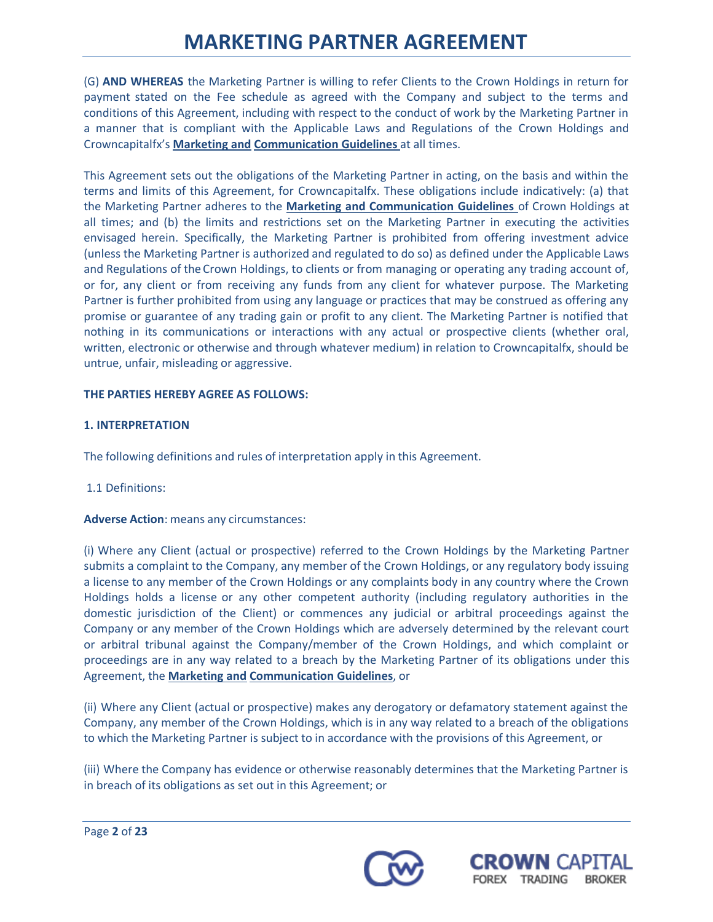(G) **AND WHEREAS** the Marketing Partner is willing to refer Clients to the Crown Holdings in return for payment stated on the Fee schedule as agreed with the Company and subject to the terms and conditions of this Agreement, including with respect to the conduct of work by the Marketing Partner in a manner that is compliant with the Applicable Laws and Regulations of the Crown Holdings and Crowncapitalfx's **Marketing and Communication Guidelines** at all times.

This Agreement sets out the obligations of the Marketing Partner in acting, on the basis and within the terms and limits of this Agreement, for Crowncapitalfx. These obligations include indicatively: (a) that the Marketing Partner adheres to the **Marketing and Communication Guidelines** of Crown Holdings at all times; and (b) the limits and restrictions set on the Marketing Partner in executing the activities envisaged herein. Specifically, the Marketing Partner is prohibited from offering investment advice (unless the Marketing Partner is authorized and regulated to do so) as defined under the Applicable Laws and Regulations of the Crown Holdings, to clients or from managing or operating any trading account of, or for, any client or from receiving any funds from any client for whatever purpose. The Marketing Partner is further prohibited from using any language or practices that may be construed as offering any promise or guarantee of any trading gain or profit to any client. The Marketing Partner is notified that nothing in its communications or interactions with any actual or prospective clients (whether oral, written, electronic or otherwise and through whatever medium) in relation to Crowncapitalfx, should be untrue, unfair, misleading or aggressive.

## **THE PARTIES HEREBY AGREE AS FOLLOWS:**

## **1. INTERPRETATION**

The following definitions and rules of interpretation apply in this Agreement.

## 1.1 Definitions:

## **Adverse Action**: means any circumstances:

(i) Where any Client (actual or prospective) referred to the Crown Holdings by the Marketing Partner submits a complaint to the Company, any member of the Crown Holdings, or any regulatory body issuing a license to any member of the Crown Holdings or any complaints body in any country where the Crown Holdings holds a license or any other competent authority (including regulatory authorities in the domestic jurisdiction of the Client) or commences any judicial or arbitral proceedings against the Company or any member of the Crown Holdings which are adversely determined by the relevant court or arbitral tribunal against the Company/member of the Crown Holdings, and which complaint or proceedings are in any way related to a breach by the Marketing Partner of its obligations under this Agreement, the **Marketing and Communication Guidelines**, or

(ii) Where any Client (actual or prospective) makes any derogatory or defamatory statement against the Company, any member of the Crown Holdings, which is in any way related to a breach of the obligations to which the Marketing Partner is subject to in accordance with the provisions of this Agreement, or

(iii) Where the Company has evidence or otherwise reasonably determines that the Marketing Partner is in breach of its obligations as set out in this Agreement; or



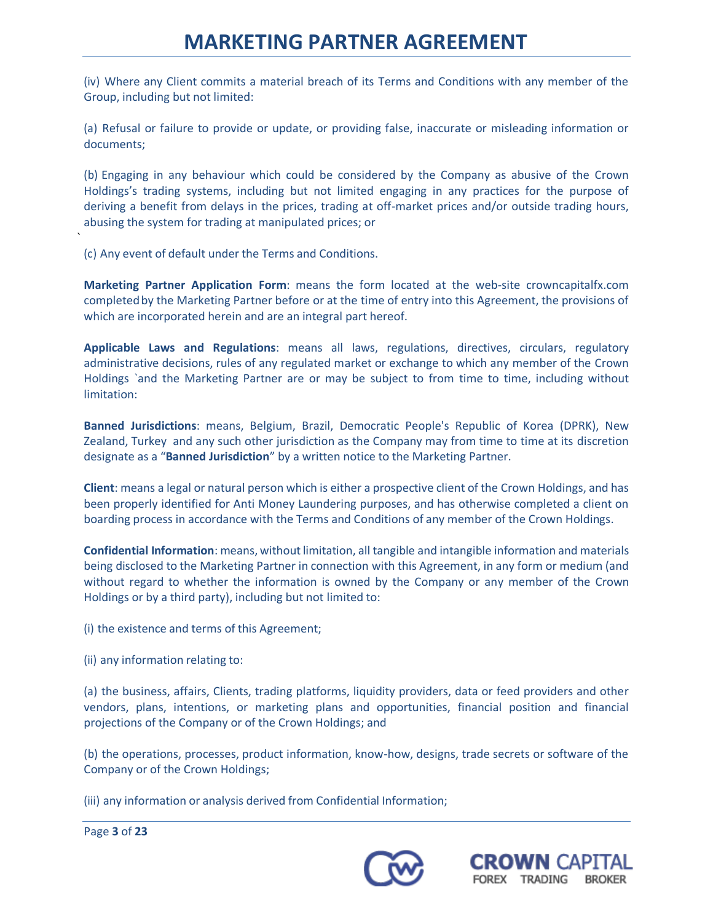(iv) Where any Client commits a material breach of its Terms and Conditions with any member of the Group, including but not limited:

(a) Refusal or failure to provide or update, or providing false, inaccurate or misleading information or documents;

(b) Engaging in any behaviour which could be considered by the Company as abusive of the Crown Holdings's trading systems, including but not limited engaging in any practices for the purpose of deriving a benefit from delays in the prices, trading at off-market prices and/or outside trading hours, abusing the system for trading at manipulated prices; or

(c) Any event of default under the Terms and Conditions.

`

**Marketing Partner Application Form**: means the form located at the web-site crowncapitalfx.com completedby the Marketing Partner before or at the time of entry into this Agreement, the provisions of which are incorporated herein and are an integral part hereof.

**Applicable Laws and Regulations**: means all laws, regulations, directives, circulars, regulatory administrative decisions, rules of any regulated market or exchange to which any member of the Crown Holdings `and the Marketing Partner are or may be subject to from time to time, including without limitation:

**Banned Jurisdictions**: means, Belgium, Brazil, Democratic People's Republic of Korea (DPRK), New Zealand, Turkey and any such other jurisdiction as the Company may from time to time at its discretion designate as a "**Banned Jurisdiction**" by a written notice to the Marketing Partner.

**Client**: means a legal or natural person which is either a prospective client of the Crown Holdings, and has been properly identified for Anti Money Laundering purposes, and has otherwise completed a client on boarding process in accordance with the Terms and Conditions of any member of the Crown Holdings.

**Confidential Information**: means, without limitation, all tangible and intangible information and materials being disclosed to the Marketing Partner in connection with this Agreement, in any form or medium (and without regard to whether the information is owned by the Company or any member of the Crown Holdings or by a third party), including but not limited to:

(i) the existence and terms of this Agreement;

(ii) any information relating to:

(a) the business, affairs, Clients, trading platforms, liquidity providers, data or feed providers and other vendors, plans, intentions, or marketing plans and opportunities, financial position and financial projections of the Company or of the Crown Holdings; and

(b) the operations, processes, product information, know-how, designs, trade secrets or software of the Company or of the Crown Holdings;

(iii) any information or analysis derived from Confidential Information;





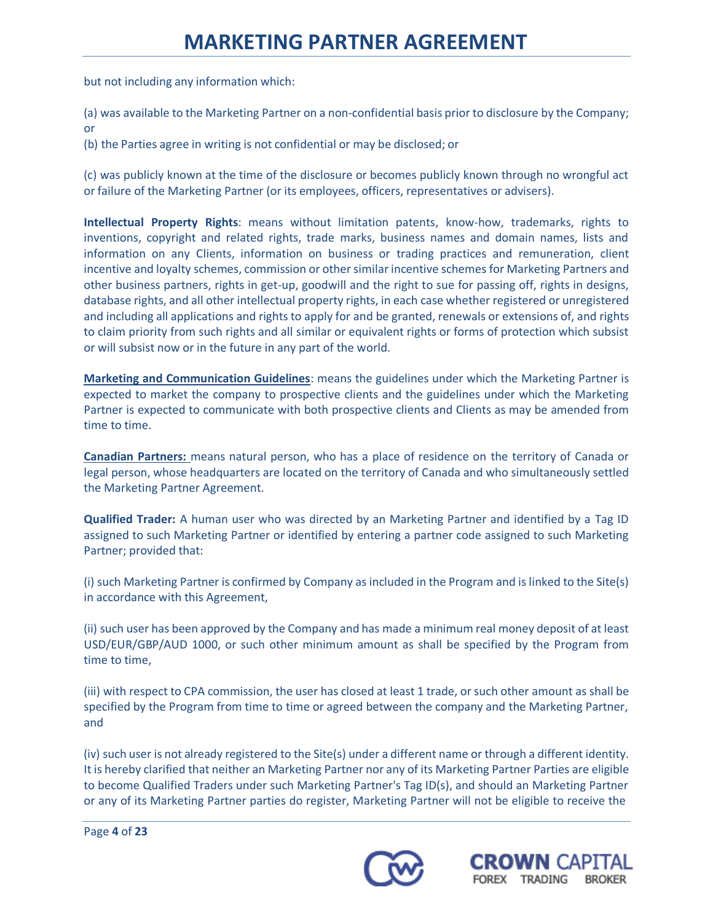but not including any information which:

(a) was available to the Marketing Partner on a non-confidential basis prior to disclosure by the Company; or

(b) the Parties agree in writing is not confidential or may be disclosed; or

(c) was publicly known at the time of the disclosure or becomes publicly known through no wrongful act or failure of the Marketing Partner (or its employees, officers, representatives or advisers).

**Intellectual Property Rights**: means without limitation patents, know-how, trademarks, rights to inventions, copyright and related rights, trade marks, business names and domain names, lists and information on any Clients, information on business or trading practices and remuneration, client incentive and loyalty schemes, commission or other similar incentive schemes for Marketing Partners and other business partners, rights in get-up, goodwill and the right to sue for passing off, rights in designs, database rights, and all other intellectual property rights, in each case whether registered or unregistered and including all applications and rights to apply for and be granted, renewals or extensions of, and rights to claim priority from such rights and all similar or equivalent rights or forms of protection which subsist or will subsist now or in the future in any part of the world.

**Marketing and Communication Guidelines**: means the guidelines under which the Marketing Partner is expected to market the company to prospective clients and the guidelines under which the Marketing Partner is expected to communicate with both prospective clients and Clients as may be amended from time to time.

**Canadian Partners:** means natural person, who has a place of residence on the territory of Canada or legal person, whose headquarters are located on the territory of Canada and who simultaneously settled the Marketing Partner Agreement.

**Qualified Trader:** A human user who was directed by an Marketing Partner and identified by a Tag ID assigned to such Marketing Partner or identified by entering a partner code assigned to such Marketing Partner; provided that:

(i) such Marketing Partner is confirmed by Company as included in the Program and is linked to the Site(s) in accordance with this Agreement,

(ii) such user has been approved by the Company and has made a minimum real money deposit of at least USD/EUR/GBP/AUD 1000, or such other minimum amount as shall be specified by the Program from time to time,

(iii) with respect to CPA commission, the user has closed at least 1 trade, or such other amount as shall be specified by the Program from time to time or agreed between the company and the Marketing Partner, and

(iv) such user is not already registered to the Site(s) under a different name or through a different identity. It is hereby clarified that neither an Marketing Partner nor any of its Marketing Partner Parties are eligible to become Qualified Traders under such Marketing Partner's Tag ID(s), and should an Marketing Partner or any of its Marketing Partner parties do register, Marketing Partner will not be eligible to receive the



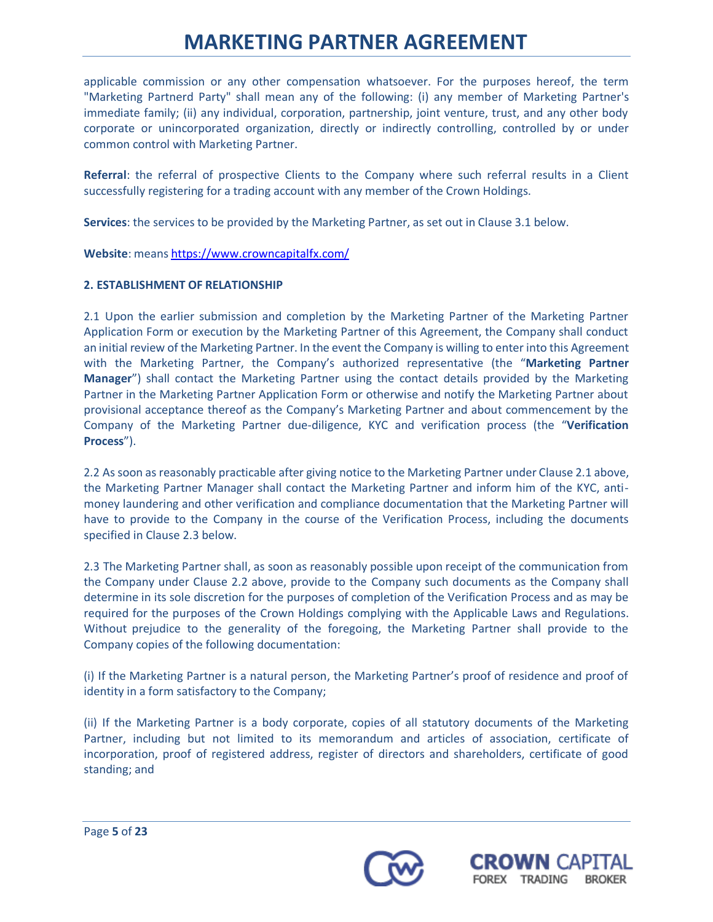applicable commission or any other compensation whatsoever. For the purposes hereof, the term "Marketing Partnerd Party" shall mean any of the following: (i) any member of Marketing Partner's immediate family; (ii) any individual, corporation, partnership, joint venture, trust, and any other body corporate or unincorporated organization, directly or indirectly controlling, controlled by or under common control with Marketing Partner.

**Referral**: the referral of prospective Clients to the Company where such referral results in a Client successfully registering for a trading account with any member of the Crown Holdings.

**Services**: the services to be provided by the Marketing Partner, as set out in Clause 3.1 below.

**Website**: means <https://www.crowncapitalfx.com/>

## **2. ESTABLISHMENT OF RELATIONSHIP**

2.1 Upon the earlier submission and completion by the Marketing Partner of the Marketing Partner Application Form or execution by the Marketing Partner of this Agreement, the Company shall conduct an initial review of the Marketing Partner. In the event the Company is willing to enter into this Agreement with the Marketing Partner, the Company's authorized representative (the "**Marketing Partner Manager**") shall contact the Marketing Partner using the contact details provided by the Marketing Partner in the Marketing Partner Application Form or otherwise and notify the Marketing Partner about provisional acceptance thereof as the Company's Marketing Partner and about commencement by the Company of the Marketing Partner due-diligence, KYC and verification process (the "**Verification Process**").

2.2 As soon as reasonably practicable after giving notice to the Marketing Partner under Clause 2.1 above, the Marketing Partner Manager shall contact the Marketing Partner and inform him of the KYC, antimoney laundering and other verification and compliance documentation that the Marketing Partner will have to provide to the Company in the course of the Verification Process, including the documents specified in Clause 2.3 below.

2.3 The Marketing Partner shall, as soon as reasonably possible upon receipt of the communication from the Company under Clause 2.2 above, provide to the Company such documents as the Company shall determine in its sole discretion for the purposes of completion of the Verification Process and as may be required for the purposes of the Crown Holdings complying with the Applicable Laws and Regulations. Without prejudice to the generality of the foregoing, the Marketing Partner shall provide to the Company copies of the following documentation:

(i) If the Marketing Partner is a natural person, the Marketing Partner's proof of residence and proof of identity in a form satisfactory to the Company;

(ii) If the Marketing Partner is a body corporate, copies of all statutory documents of the Marketing Partner, including but not limited to its memorandum and articles of association, certificate of incorporation, proof of registered address, register of directors and shareholders, certificate of good standing; and



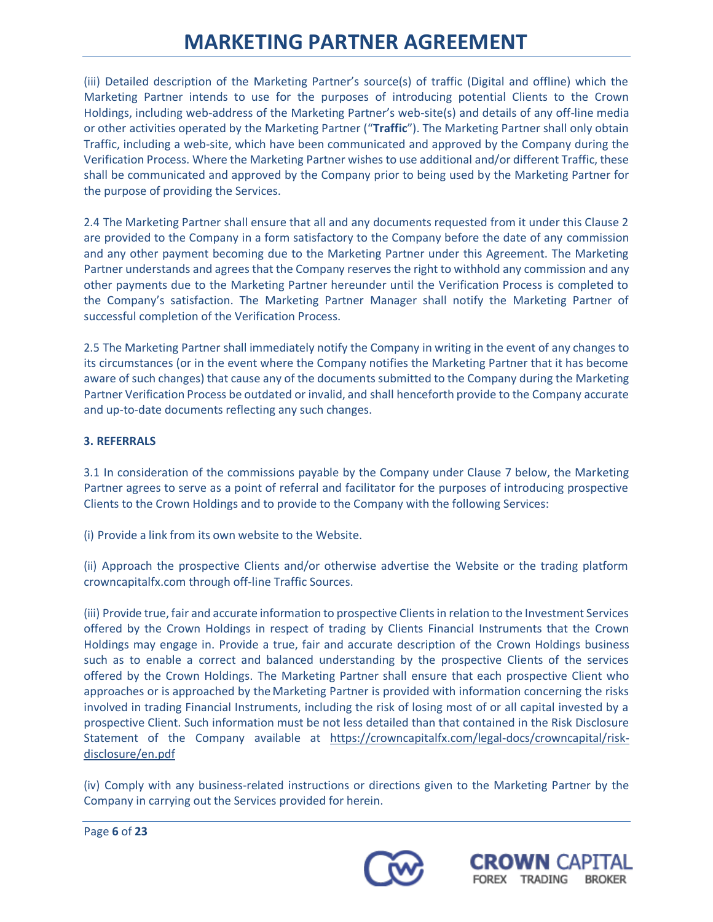(iii) Detailed description of the Marketing Partner's source(s) of traffic (Digital and offline) which the Marketing Partner intends to use for the purposes of introducing potential Clients to the Crown Holdings, including web-address of the Marketing Partner's web-site(s) and details of any off-line media or other activities operated by the Marketing Partner ("**Traffic**"). The Marketing Partner shall only obtain Traffic, including a web-site, which have been communicated and approved by the Company during the Verification Process. Where the Marketing Partner wishes to use additional and/or different Traffic, these shall be communicated and approved by the Company prior to being used by the Marketing Partner for the purpose of providing the Services.

2.4 The Marketing Partner shall ensure that all and any documents requested from it under this Clause 2 are provided to the Company in a form satisfactory to the Company before the date of any commission and any other payment becoming due to the Marketing Partner under this Agreement. The Marketing Partner understands and agrees that the Company reserves the right to withhold any commission and any other payments due to the Marketing Partner hereunder until the Verification Process is completed to the Company's satisfaction. The Marketing Partner Manager shall notify the Marketing Partner of successful completion of the Verification Process.

2.5 The Marketing Partner shall immediately notify the Company in writing in the event of any changes to its circumstances (or in the event where the Company notifies the Marketing Partner that it has become aware of such changes) that cause any of the documents submitted to the Company during the Marketing Partner Verification Process be outdated or invalid, and shall henceforth provide to the Company accurate and up-to-date documents reflecting any such changes.

## **3. REFERRALS**

3.1 In consideration of the commissions payable by the Company under Clause 7 below, the Marketing Partner agrees to serve as a point of referral and facilitator for the purposes of introducing prospective Clients to the Crown Holdings and to provide to the Company with the following Services:

(i) Provide a link from its own website to the Website.

(ii) Approach the prospective Clients and/or otherwise advertise the Website or the trading platform crowncapitalfx.com through off-line Traffic Sources.

(iii) Provide true, fair and accurate information to prospective Clientsin relation to the Investment Services offered by the Crown Holdings in respect of trading by Clients Financial Instruments that the Crown Holdings may engage in. Provide a true, fair and accurate description of the Crown Holdings business such as to enable a correct and balanced understanding by the prospective Clients of the services offered by the Crown Holdings. The Marketing Partner shall ensure that each prospective Client who approaches or is approached by theMarketing Partner is provided with information concerning the risks involved in trading Financial Instruments, including the risk of losing most of or all capital invested by a prospective Client. Such information must be not less detailed than that contained in the Risk Disclosure Statement of the Company available at [https://crowncapitalfx.com/legal-docs/crowncapital/risk](https://origin.avatrades.net/legal-docs/intl/risk-disclosure/en.pdf)[disclosure/en.pdf](https://origin.avatrades.net/legal-docs/intl/risk-disclosure/en.pdf)

(iv) Comply with any business-related instructions or directions given to the Marketing Partner by the Company in carrying out the Services provided for herein.



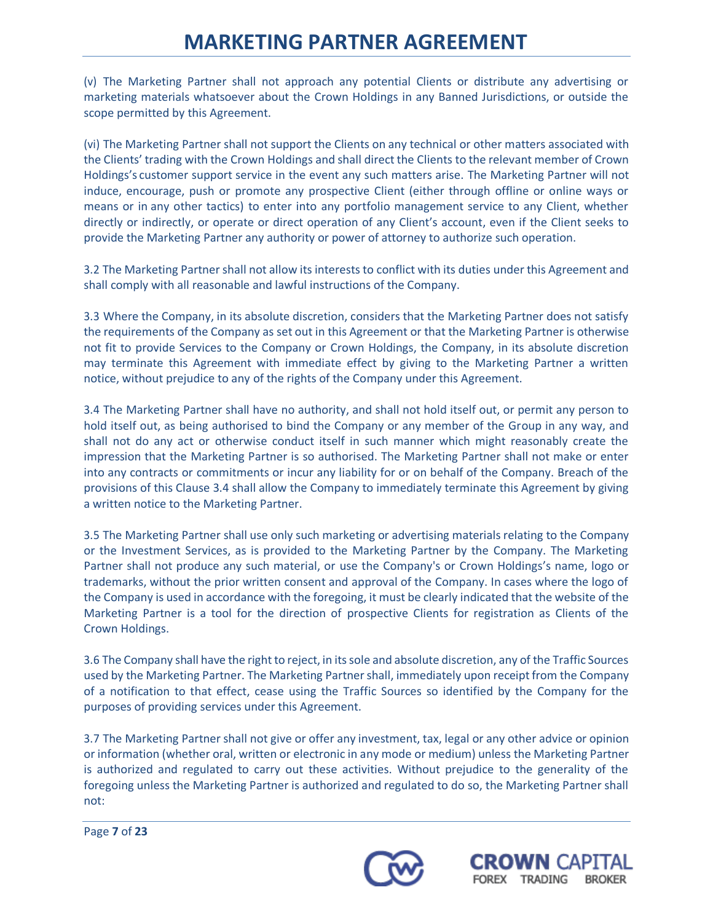(v) The Marketing Partner shall not approach any potential Clients or distribute any advertising or marketing materials whatsoever about the Crown Holdings in any Banned Jurisdictions, or outside the scope permitted by this Agreement.

(vi) The Marketing Partner shall not support the Clients on any technical or other matters associated with the Clients' trading with the Crown Holdings and shall direct the Clients to the relevant member of Crown Holdings's customer support service in the event any such matters arise. The Marketing Partner will not induce, encourage, push or promote any prospective Client (either through offline or online ways or means or in any other tactics) to enter into any portfolio management service to any Client, whether directly or indirectly, or operate or direct operation of any Client's account, even if the Client seeks to provide the Marketing Partner any authority or power of attorney to authorize such operation.

3.2 The Marketing Partner shall not allow its interests to conflict with its duties under this Agreement and shall comply with all reasonable and lawful instructions of the Company.

3.3 Where the Company, in its absolute discretion, considers that the Marketing Partner does not satisfy the requirements of the Company as set out in this Agreement or that the Marketing Partner is otherwise not fit to provide Services to the Company or Crown Holdings, the Company, in its absolute discretion may terminate this Agreement with immediate effect by giving to the Marketing Partner a written notice, without prejudice to any of the rights of the Company under this Agreement.

3.4 The Marketing Partner shall have no authority, and shall not hold itself out, or permit any person to hold itself out, as being authorised to bind the Company or any member of the Group in any way, and shall not do any act or otherwise conduct itself in such manner which might reasonably create the impression that the Marketing Partner is so authorised. The Marketing Partner shall not make or enter into any contracts or commitments or incur any liability for or on behalf of the Company. Breach of the provisions of this Clause 3.4 shall allow the Company to immediately terminate this Agreement by giving a written notice to the Marketing Partner.

3.5 The Marketing Partner shall use only such marketing or advertising materials relating to the Company or the Investment Services, as is provided to the Marketing Partner by the Company. The Marketing Partner shall not produce any such material, or use the Company's or Crown Holdings's name, logo or trademarks, without the prior written consent and approval of the Company. In cases where the logo of the Company is used in accordance with the foregoing, it must be clearly indicated that the website of the Marketing Partner is a tool for the direction of prospective Clients for registration as Clients of the Crown Holdings.

3.6 The Company shall have the right to reject, in itssole and absolute discretion, any of the Traffic Sources used by the Marketing Partner. The Marketing Partner shall, immediately upon receipt from the Company of a notification to that effect, cease using the Traffic Sources so identified by the Company for the purposes of providing services under this Agreement.

3.7 The Marketing Partner shall not give or offer any investment, tax, legal or any other advice or opinion or information (whether oral, written or electronic in any mode or medium) unless the Marketing Partner is authorized and regulated to carry out these activities. Without prejudice to the generality of the foregoing unless the Marketing Partner is authorized and regulated to do so, the Marketing Partner shall not:



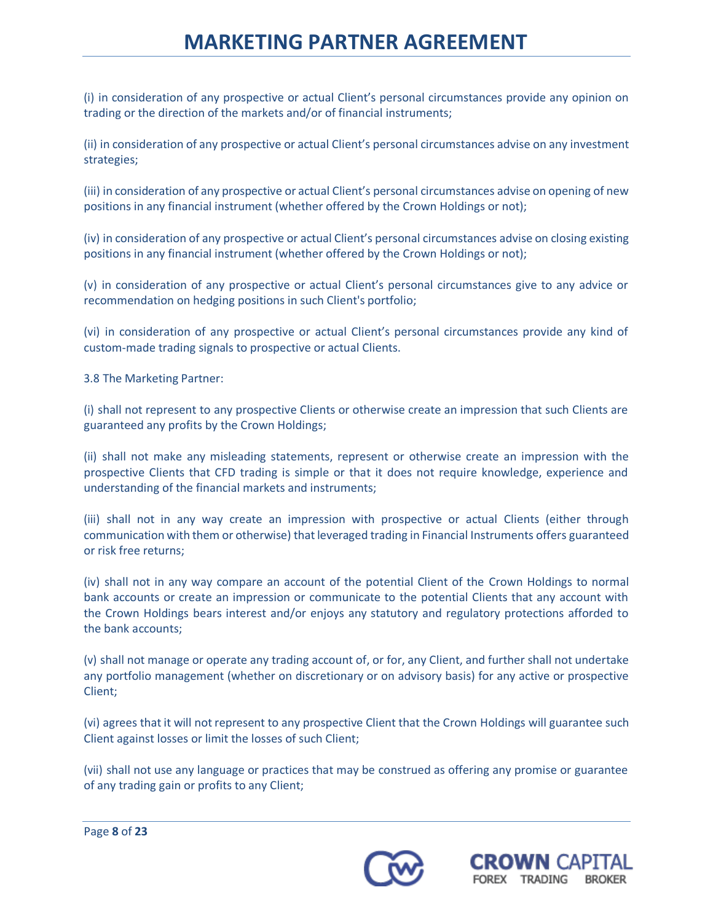(i) in consideration of any prospective or actual Client's personal circumstances provide any opinion on trading or the direction of the markets and/or of financial instruments;

(ii) in consideration of any prospective or actual Client's personal circumstances advise on any investment strategies;

(iii) in consideration of any prospective or actual Client's personal circumstances advise on opening of new positions in any financial instrument (whether offered by the Crown Holdings or not);

(iv) in consideration of any prospective or actual Client's personal circumstances advise on closing existing positions in any financial instrument (whether offered by the Crown Holdings or not);

(v) in consideration of any prospective or actual Client's personal circumstances give to any advice or recommendation on hedging positions in such Client's portfolio;

(vi) in consideration of any prospective or actual Client's personal circumstances provide any kind of custom-made trading signals to prospective or actual Clients.

3.8 The Marketing Partner:

(i) shall not represent to any prospective Clients or otherwise create an impression that such Clients are guaranteed any profits by the Crown Holdings;

(ii) shall not make any misleading statements, represent or otherwise create an impression with the prospective Clients that CFD trading is simple or that it does not require knowledge, experience and understanding of the financial markets and instruments;

(iii) shall not in any way create an impression with prospective or actual Clients (either through communication with them or otherwise) that leveraged trading in Financial Instruments offers guaranteed or risk free returns;

(iv) shall not in any way compare an account of the potential Client of the Crown Holdings to normal bank accounts or create an impression or communicate to the potential Clients that any account with the Crown Holdings bears interest and/or enjoys any statutory and regulatory protections afforded to the bank accounts;

(v) shall not manage or operate any trading account of, or for, any Client, and further shall not undertake any portfolio management (whether on discretionary or on advisory basis) for any active or prospective Client;

(vi) agrees that it will not represent to any prospective Client that the Crown Holdings will guarantee such Client against losses or limit the losses of such Client;

(vii) shall not use any language or practices that may be construed as offering any promise or guarantee of any trading gain or profits to any Client;



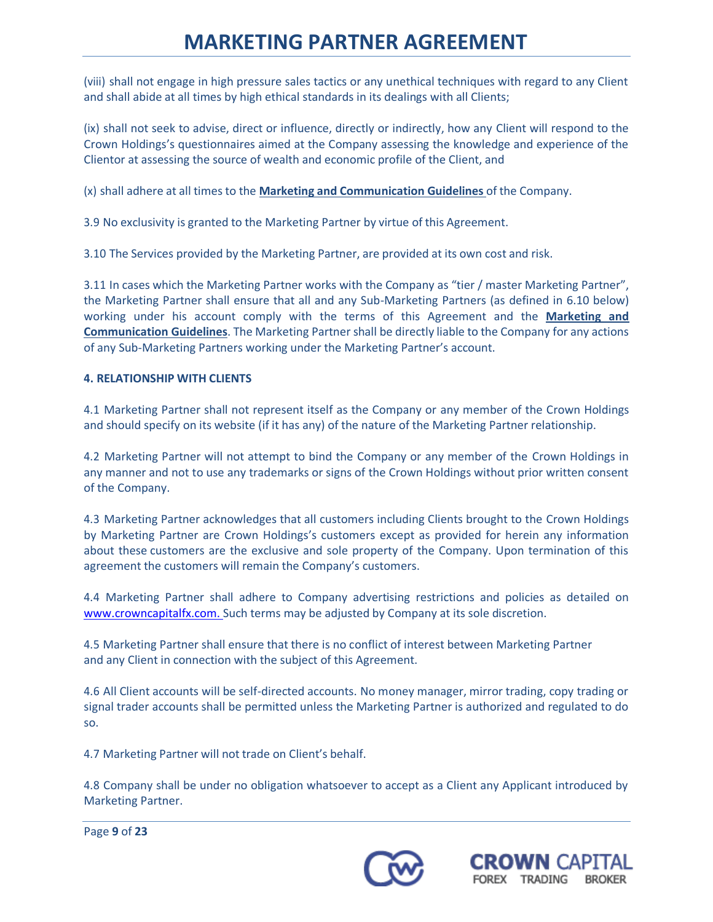(viii) shall not engage in high pressure sales tactics or any unethical techniques with regard to any Client and shall abide at all times by high ethical standards in its dealings with all Clients;

(ix) shall not seek to advise, direct or influence, directly or indirectly, how any Client will respond to the Crown Holdings's questionnaires aimed at the Company assessing the knowledge and experience of the Clientor at assessing the source of wealth and economic profile of the Client, and

(x) shall adhere at all times to the **Marketing and Communication Guidelines** of the Company.

3.9 No exclusivity is granted to the Marketing Partner by virtue of this Agreement.

3.10 The Services provided by the Marketing Partner, are provided at its own cost and risk.

3.11 In cases which the Marketing Partner works with the Company as "tier / master Marketing Partner", the Marketing Partner shall ensure that all and any Sub-Marketing Partners (as defined in 6.10 below) working under his account comply with the terms of this Agreement and the **Marketing and Communication Guidelines**. The Marketing Partner shall be directly liable to the Company for any actions of any Sub-Marketing Partners working under the Marketing Partner's account.

## **4. RELATIONSHIP WITH CLIENTS**

4.1 Marketing Partner shall not represent itself as the Company or any member of the Crown Holdings and should specify on its website (if it has any) of the nature of the Marketing Partner relationship.

4.2 Marketing Partner will not attempt to bind the Company or any member of the Crown Holdings in any manner and not to use any trademarks or signs of the Crown Holdings without prior written consent of the Company.

4.3 Marketing Partner acknowledges that all customers including Clients brought to the Crown Holdings by Marketing Partner are Crown Holdings's customers except as provided for herein any information about these customers are the exclusive and sole property of the Company. Upon termination of this agreement the customers will remain the Company's customers.

4.4 Marketing Partner shall adhere to Company advertising restrictions and policies as detailed on [www.crowncapitalfx.com.](http://www.crowncapitalfx.com/) Such terms may be adjusted by Company at its sole discretion.

4.5 Marketing Partner shall ensure that there is no conflict of interest between Marketing Partner and any Client in connection with the subject of this Agreement.

4.6 All Client accounts will be self-directed accounts. No money manager, mirror trading, copy trading or signal trader accounts shall be permitted unless the Marketing Partner is authorized and regulated to do so.

4.7 Marketing Partner will not trade on Client's behalf.

4.8 Company shall be under no obligation whatsoever to accept as a Client any Applicant introduced by Marketing Partner.

Page **9** of **23**



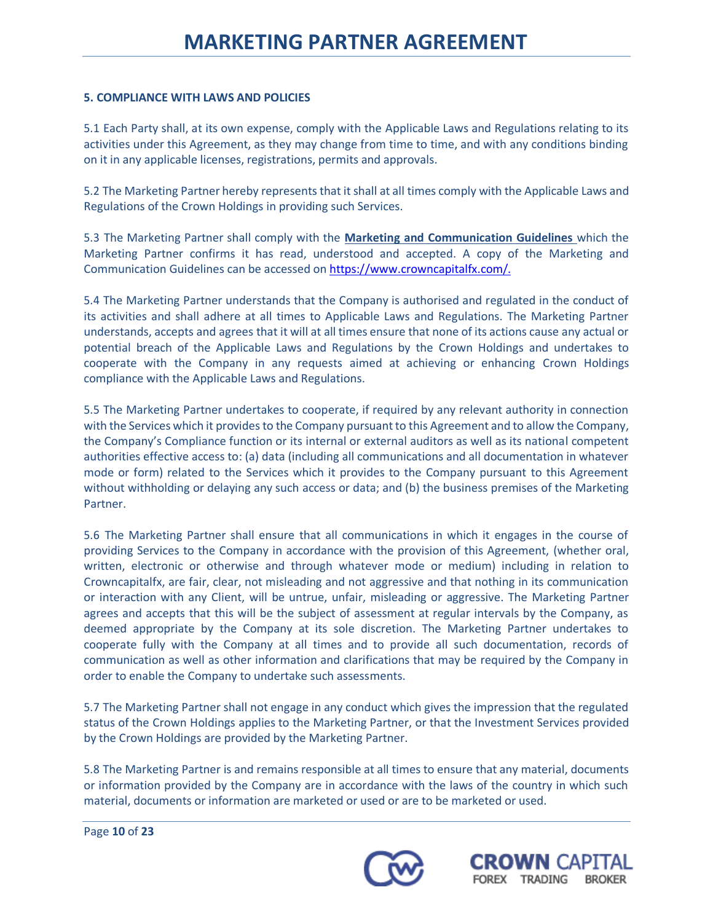## **5. COMPLIANCE WITH LAWS AND POLICIES**

5.1 Each Party shall, at its own expense, comply with the Applicable Laws and Regulations relating to its activities under this Agreement, as they may change from time to time, and with any conditions binding on it in any applicable licenses, registrations, permits and approvals.

5.2 The Marketing Partner hereby represents that it shall at all times comply with the Applicable Laws and Regulations of the Crown Holdings in providing such Services.

5.3 The Marketing Partner shall comply with the **Marketing and Communication Guidelines** which the Marketing Partner confirms it has read, understood and accepted. A copy of the Marketing and Communication Guidelines can be accessed on [https://www.crowncapitalfx.com/.](https://www.crowncapitalfx.com/)

5.4 The Marketing Partner understands that the Company is authorised and regulated in the conduct of its activities and shall adhere at all times to Applicable Laws and Regulations. The Marketing Partner understands, accepts and agrees that it will at all times ensure that none of its actions cause any actual or potential breach of the Applicable Laws and Regulations by the Crown Holdings and undertakes to cooperate with the Company in any requests aimed at achieving or enhancing Crown Holdings compliance with the Applicable Laws and Regulations.

5.5 The Marketing Partner undertakes to cooperate, if required by any relevant authority in connection with the Services which it provides to the Company pursuant to this Agreement and to allow the Company, the Company's Compliance function or its internal or external auditors as well as its national competent authorities effective access to: (a) data (including all communications and all documentation in whatever mode or form) related to the Services which it provides to the Company pursuant to this Agreement without withholding or delaying any such access or data; and (b) the business premises of the Marketing Partner.

5.6 The Marketing Partner shall ensure that all communications in which it engages in the course of providing Services to the Company in accordance with the provision of this Agreement, (whether oral, written, electronic or otherwise and through whatever mode or medium) including in relation to Crowncapitalfx, are fair, clear, not misleading and not aggressive and that nothing in its communication or interaction with any Client, will be untrue, unfair, misleading or aggressive. The Marketing Partner agrees and accepts that this will be the subject of assessment at regular intervals by the Company, as deemed appropriate by the Company at its sole discretion. The Marketing Partner undertakes to cooperate fully with the Company at all times and to provide all such documentation, records of communication as well as other information and clarifications that may be required by the Company in order to enable the Company to undertake such assessments.

5.7 The Marketing Partner shall not engage in any conduct which gives the impression that the regulated status of the Crown Holdings applies to the Marketing Partner, or that the Investment Services provided by the Crown Holdings are provided by the Marketing Partner.

5.8 The Marketing Partner is and remains responsible at all times to ensure that any material, documents or information provided by the Company are in accordance with the laws of the country in which such material, documents or information are marketed or used or are to be marketed or used.

Page **10** of **23**



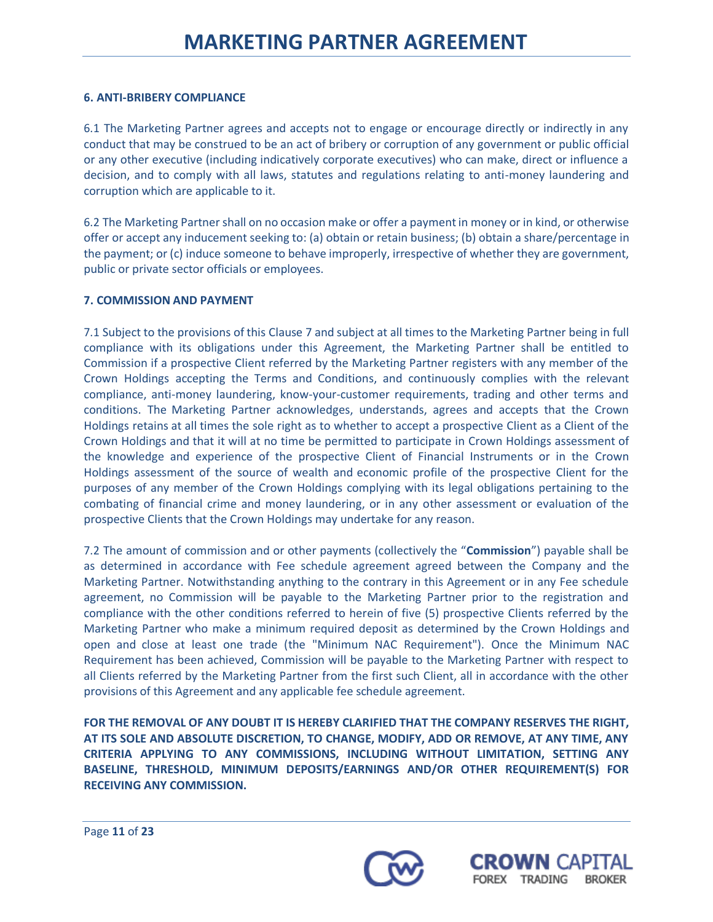## **6. ANTI-BRIBERY COMPLIANCE**

6.1 The Marketing Partner agrees and accepts not to engage or encourage directly or indirectly in any conduct that may be construed to be an act of bribery or corruption of any government or public official or any other executive (including indicatively corporate executives) who can make, direct or influence a decision, and to comply with all laws, statutes and regulations relating to anti-money laundering and corruption which are applicable to it.

6.2 The Marketing Partner shall on no occasion make or offer a paymentin money or in kind, or otherwise offer or accept any inducement seeking to: (a) obtain or retain business; (b) obtain a share/percentage in the payment; or (c) induce someone to behave improperly, irrespective of whether they are government, public or private sector officials or employees.

## **7. COMMISSION AND PAYMENT**

7.1 Subject to the provisions of this Clause 7 and subject at all times to the Marketing Partner being in full compliance with its obligations under this Agreement, the Marketing Partner shall be entitled to Commission if a prospective Client referred by the Marketing Partner registers with any member of the Crown Holdings accepting the Terms and Conditions, and continuously complies with the relevant compliance, anti-money laundering, know-your-customer requirements, trading and other terms and conditions. The Marketing Partner acknowledges, understands, agrees and accepts that the Crown Holdings retains at all times the sole right as to whether to accept a prospective Client as a Client of the Crown Holdings and that it will at no time be permitted to participate in Crown Holdings assessment of the knowledge and experience of the prospective Client of Financial Instruments or in the Crown Holdings assessment of the source of wealth and economic profile of the prospective Client for the purposes of any member of the Crown Holdings complying with its legal obligations pertaining to the combating of financial crime and money laundering, or in any other assessment or evaluation of the prospective Clients that the Crown Holdings may undertake for any reason.

7.2 The amount of commission and or other payments (collectively the "**Commission**") payable shall be as determined in accordance with Fee schedule agreement agreed between the Company and the Marketing Partner. Notwithstanding anything to the contrary in this Agreement or in any Fee schedule agreement, no Commission will be payable to the Marketing Partner prior to the registration and compliance with the other conditions referred to herein of five (5) prospective Clients referred by the Marketing Partner who make a minimum required deposit as determined by the Crown Holdings and open and close at least one trade (the "Minimum NAC Requirement"). Once the Minimum NAC Requirement has been achieved, Commission will be payable to the Marketing Partner with respect to all Clients referred by the Marketing Partner from the first such Client, all in accordance with the other provisions of this Agreement and any applicable fee schedule agreement.

**FOR THE REMOVAL OF ANY DOUBT IT IS HEREBY CLARIFIED THAT THE COMPANY RESERVES THE RIGHT, AT ITS SOLE AND ABSOLUTE DISCRETION, TO CHANGE, MODIFY, ADD OR REMOVE, AT ANY TIME, ANY CRITERIA APPLYING TO ANY COMMISSIONS, INCLUDING WITHOUT LIMITATION, SETTING ANY BASELINE, THRESHOLD, MINIMUM DEPOSITS/EARNINGS AND/OR OTHER REQUIREMENT(S) FOR RECEIVING ANY COMMISSION.**



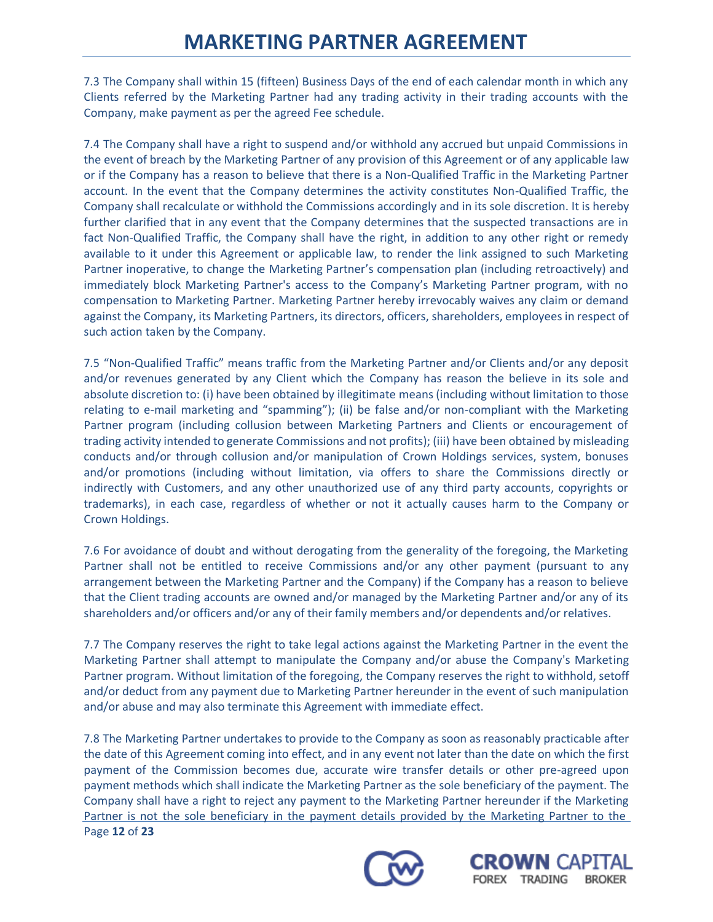7.3 The Company shall within 15 (fifteen) Business Days of the end of each calendar month in which any Clients referred by the Marketing Partner had any trading activity in their trading accounts with the Company, make payment as per the agreed Fee schedule.

7.4 The Company shall have a right to suspend and/or withhold any accrued but unpaid Commissions in the event of breach by the Marketing Partner of any provision of this Agreement or of any applicable law or if the Company has a reason to believe that there is a Non-Qualified Traffic in the Marketing Partner account. In the event that the Company determines the activity constitutes Non-Qualified Traffic, the Company shall recalculate or withhold the Commissions accordingly and in its sole discretion. It is hereby further clarified that in any event that the Company determines that the suspected transactions are in fact Non-Qualified Traffic, the Company shall have the right, in addition to any other right or remedy available to it under this Agreement or applicable law, to render the link assigned to such Marketing Partner inoperative, to change the Marketing Partner's compensation plan (including retroactively) and immediately block Marketing Partner's access to the Company's Marketing Partner program, with no compensation to Marketing Partner. Marketing Partner hereby irrevocably waives any claim or demand against the Company, its Marketing Partners, its directors, officers, shareholders, employees in respect of such action taken by the Company.

7.5 "Non-Qualified Traffic" means traffic from the Marketing Partner and/or Clients and/or any deposit and/or revenues generated by any Client which the Company has reason the believe in its sole and absolute discretion to: (i) have been obtained by illegitimate means(including without limitation to those relating to e-mail marketing and "spamming"); (ii) be false and/or non-compliant with the Marketing Partner program (including collusion between Marketing Partners and Clients or encouragement of trading activity intended to generate Commissions and not profits); (iii) have been obtained by misleading conducts and/or through collusion and/or manipulation of Crown Holdings services, system, bonuses and/or promotions (including without limitation, via offers to share the Commissions directly or indirectly with Customers, and any other unauthorized use of any third party accounts, copyrights or trademarks), in each case, regardless of whether or not it actually causes harm to the Company or Crown Holdings.

7.6 For avoidance of doubt and without derogating from the generality of the foregoing, the Marketing Partner shall not be entitled to receive Commissions and/or any other payment (pursuant to any arrangement between the Marketing Partner and the Company) if the Company has a reason to believe that the Client trading accounts are owned and/or managed by the Marketing Partner and/or any of its shareholders and/or officers and/or any of their family members and/or dependents and/or relatives.

7.7 The Company reserves the right to take legal actions against the Marketing Partner in the event the Marketing Partner shall attempt to manipulate the Company and/or abuse the Company's Marketing Partner program. Without limitation of the foregoing, the Company reserves the right to withhold, setoff and/or deduct from any payment due to Marketing Partner hereunder in the event of such manipulation and/or abuse and may also terminate this Agreement with immediate effect.

Page **12** of **23** 7.8 The Marketing Partner undertakes to provide to the Company as soon as reasonably practicable after the date of this Agreement coming into effect, and in any event not later than the date on which the first payment of the Commission becomes due, accurate wire transfer details or other pre-agreed upon payment methods which shall indicate the Marketing Partner as the sole beneficiary of the payment. The Company shall have a right to reject any payment to the Marketing Partner hereunder if the Marketing Partner is not the sole beneficiary in the payment details provided by the Marketing Partner to the



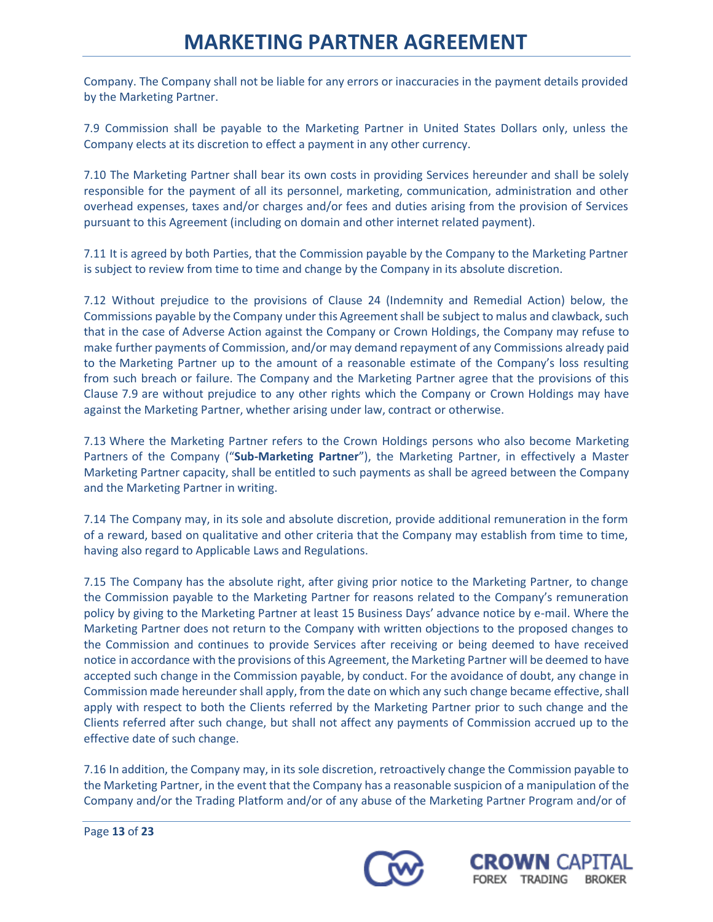Company. The Company shall not be liable for any errors or inaccuracies in the payment details provided by the Marketing Partner.

7.9 Commission shall be payable to the Marketing Partner in United States Dollars only, unless the Company elects at its discretion to effect a payment in any other currency.

7.10 The Marketing Partner shall bear its own costs in providing Services hereunder and shall be solely responsible for the payment of all its personnel, marketing, communication, administration and other overhead expenses, taxes and/or charges and/or fees and duties arising from the provision of Services pursuant to this Agreement (including on domain and other internet related payment).

7.11 It is agreed by both Parties, that the Commission payable by the Company to the Marketing Partner is subject to review from time to time and change by the Company in its absolute discretion.

7.12 Without prejudice to the provisions of Clause 24 (Indemnity and Remedial Action) below, the Commissions payable by the Company under this Agreement shall be subject to malus and clawback, such that in the case of Adverse Action against the Company or Crown Holdings, the Company may refuse to make further payments of Commission, and/or may demand repayment of any Commissions already paid to the Marketing Partner up to the amount of a reasonable estimate of the Company's loss resulting from such breach or failure. The Company and the Marketing Partner agree that the provisions of this Clause 7.9 are without prejudice to any other rights which the Company or Crown Holdings may have against the Marketing Partner, whether arising under law, contract or otherwise.

7.13 Where the Marketing Partner refers to the Crown Holdings persons who also become Marketing Partners of the Company ("**Sub-Marketing Partner**"), the Marketing Partner, in effectively a Master Marketing Partner capacity, shall be entitled to such payments as shall be agreed between the Company and the Marketing Partner in writing.

7.14 The Company may, in its sole and absolute discretion, provide additional remuneration in the form of a reward, based on qualitative and other criteria that the Company may establish from time to time, having also regard to Applicable Laws and Regulations.

7.15 The Company has the absolute right, after giving prior notice to the Marketing Partner, to change the Commission payable to the Marketing Partner for reasons related to the Company's remuneration policy by giving to the Marketing Partner at least 15 Business Days' advance notice by e-mail. Where the Marketing Partner does not return to the Company with written objections to the proposed changes to the Commission and continues to provide Services after receiving or being deemed to have received notice in accordance with the provisions of this Agreement, the Marketing Partner will be deemed to have accepted such change in the Commission payable, by conduct. For the avoidance of doubt, any change in Commission made hereunder shall apply, from the date on which any such change became effective, shall apply with respect to both the Clients referred by the Marketing Partner prior to such change and the Clients referred after such change, but shall not affect any payments of Commission accrued up to the effective date of such change.

7.16 In addition, the Company may, in its sole discretion, retroactively change the Commission payable to the Marketing Partner, in the event that the Company has a reasonable suspicion of a manipulation of the Company and/or the Trading Platform and/or of any abuse of the Marketing Partner Program and/or of





Page **13** of **23**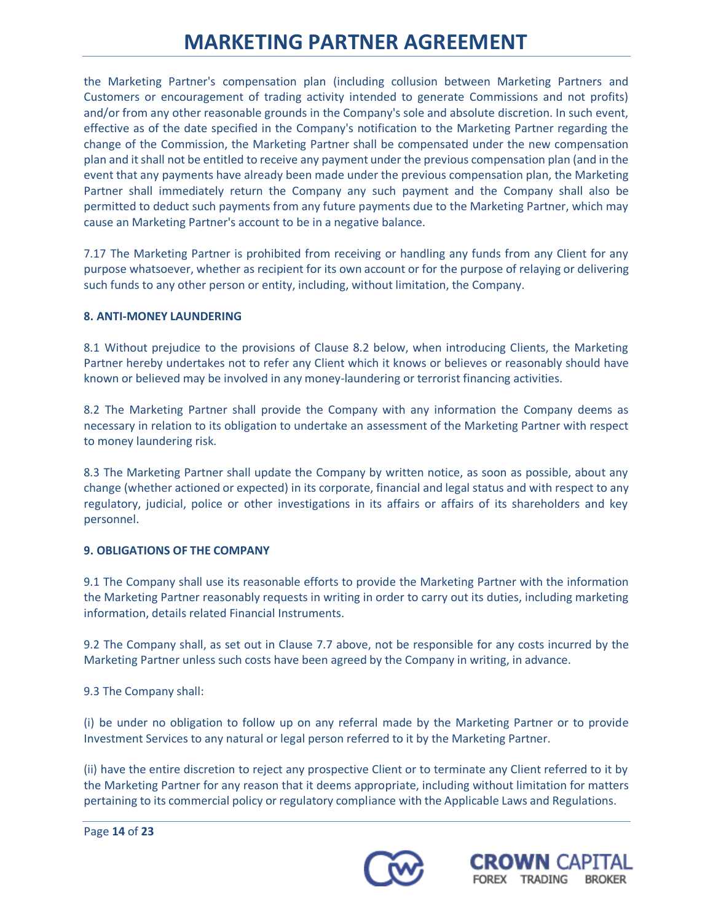the Marketing Partner's compensation plan (including collusion between Marketing Partners and Customers or encouragement of trading activity intended to generate Commissions and not profits) and/or from any other reasonable grounds in the Company's sole and absolute discretion. In such event, effective as of the date specified in the Company's notification to the Marketing Partner regarding the change of the Commission, the Marketing Partner shall be compensated under the new compensation plan and it shall not be entitled to receive any payment under the previous compensation plan (and in the event that any payments have already been made under the previous compensation plan, the Marketing Partner shall immediately return the Company any such payment and the Company shall also be permitted to deduct such payments from any future payments due to the Marketing Partner, which may cause an Marketing Partner's account to be in a negative balance.

7.17 The Marketing Partner is prohibited from receiving or handling any funds from any Client for any purpose whatsoever, whether as recipient for its own account or for the purpose of relaying or delivering such funds to any other person or entity, including, without limitation, the Company.

## **8. ANTI-MONEY LAUNDERING**

8.1 Without prejudice to the provisions of Clause 8.2 below, when introducing Clients, the Marketing Partner hereby undertakes not to refer any Client which it knows or believes or reasonably should have known or believed may be involved in any money-laundering or terrorist financing activities.

8.2 The Marketing Partner shall provide the Company with any information the Company deems as necessary in relation to its obligation to undertake an assessment of the Marketing Partner with respect to money laundering risk.

8.3 The Marketing Partner shall update the Company by written notice, as soon as possible, about any change (whether actioned or expected) in its corporate, financial and legal status and with respect to any regulatory, judicial, police or other investigations in its affairs or affairs of its shareholders and key personnel.

### **9. OBLIGATIONS OF THE COMPANY**

9.1 The Company shall use its reasonable efforts to provide the Marketing Partner with the information the Marketing Partner reasonably requests in writing in order to carry out its duties, including marketing information, details related Financial Instruments.

9.2 The Company shall, as set out in Clause 7.7 above, not be responsible for any costs incurred by the Marketing Partner unless such costs have been agreed by the Company in writing, in advance.

9.3 The Company shall:

(i) be under no obligation to follow up on any referral made by the Marketing Partner or to provide Investment Services to any natural or legal person referred to it by the Marketing Partner.

(ii) have the entire discretion to reject any prospective Client or to terminate any Client referred to it by the Marketing Partner for any reason that it deems appropriate, including without limitation for matters pertaining to its commercial policy or regulatory compliance with the Applicable Laws and Regulations.

Page **14** of **23**



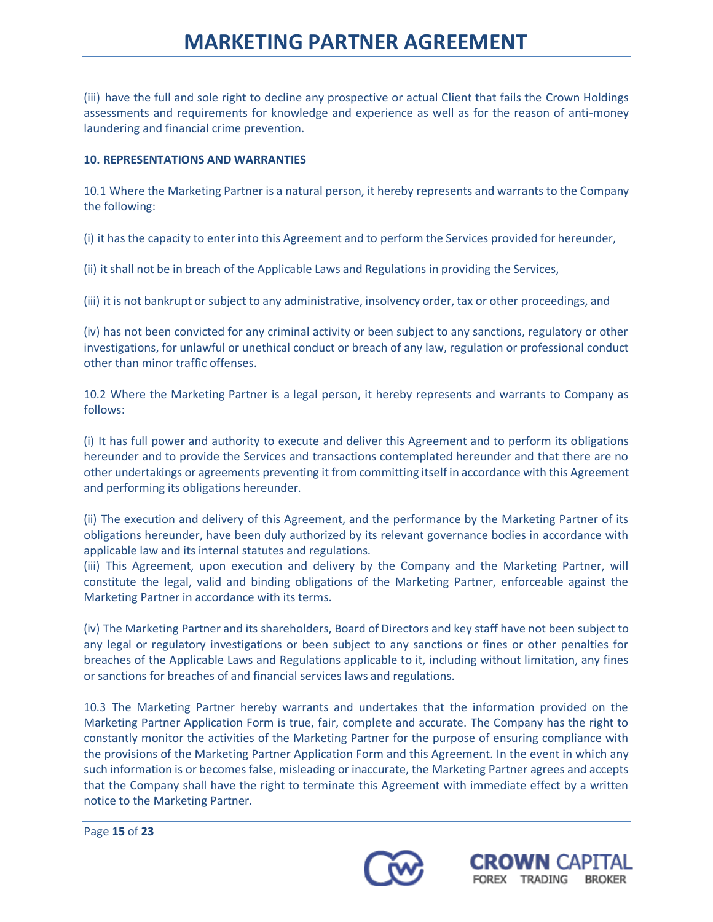(iii) have the full and sole right to decline any prospective or actual Client that fails the Crown Holdings assessments and requirements for knowledge and experience as well as for the reason of anti-money laundering and financial crime prevention.

## **10. REPRESENTATIONS AND WARRANTIES**

10.1 Where the Marketing Partner is a natural person, it hereby represents and warrants to the Company the following:

(i) it hasthe capacity to enter into this Agreement and to perform the Services provided for hereunder,

(ii) itshall not be in breach of the Applicable Laws and Regulations in providing the Services,

(iii) it is not bankrupt or subject to any administrative, insolvency order, tax or other proceedings, and

(iv) has not been convicted for any criminal activity or been subject to any sanctions, regulatory or other investigations, for unlawful or unethical conduct or breach of any law, regulation or professional conduct other than minor traffic offenses.

10.2 Where the Marketing Partner is a legal person, it hereby represents and warrants to Company as follows:

(i) It has full power and authority to execute and deliver this Agreement and to perform its obligations hereunder and to provide the Services and transactions contemplated hereunder and that there are no other undertakings or agreements preventing it from committing itself in accordance with this Agreement and performing its obligations hereunder.

(ii) The execution and delivery of this Agreement, and the performance by the Marketing Partner of its obligations hereunder, have been duly authorized by its relevant governance bodies in accordance with applicable law and its internal statutes and regulations.

(iii) This Agreement, upon execution and delivery by the Company and the Marketing Partner, will constitute the legal, valid and binding obligations of the Marketing Partner, enforceable against the Marketing Partner in accordance with its terms.

(iv) The Marketing Partner and its shareholders, Board of Directors and key staff have not been subject to any legal or regulatory investigations or been subject to any sanctions or fines or other penalties for breaches of the Applicable Laws and Regulations applicable to it, including without limitation, any fines or sanctions for breaches of and financial services laws and regulations.

10.3 The Marketing Partner hereby warrants and undertakes that the information provided on the Marketing Partner Application Form is true, fair, complete and accurate. The Company has the right to constantly monitor the activities of the Marketing Partner for the purpose of ensuring compliance with the provisions of the Marketing Partner Application Form and this Agreement. In the event in which any such information is or becomes false, misleading or inaccurate, the Marketing Partner agrees and accepts that the Company shall have the right to terminate this Agreement with immediate effect by a written notice to the Marketing Partner.



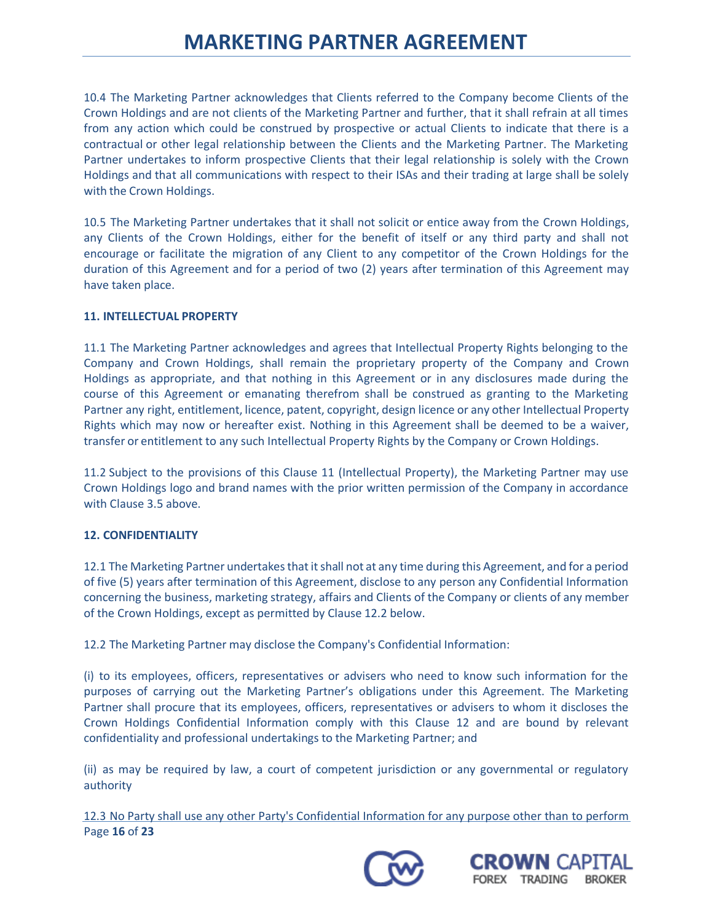10.4 The Marketing Partner acknowledges that Clients referred to the Company become Clients of the Crown Holdings and are not clients of the Marketing Partner and further, that it shall refrain at all times from any action which could be construed by prospective or actual Clients to indicate that there is a contractual or other legal relationship between the Clients and the Marketing Partner. The Marketing Partner undertakes to inform prospective Clients that their legal relationship is solely with the Crown Holdings and that all communications with respect to their ISAs and their trading at large shall be solely with the Crown Holdings.

10.5 The Marketing Partner undertakes that it shall not solicit or entice away from the Crown Holdings, any Clients of the Crown Holdings, either for the benefit of itself or any third party and shall not encourage or facilitate the migration of any Client to any competitor of the Crown Holdings for the duration of this Agreement and for a period of two (2) years after termination of this Agreement may have taken place.

### **11. INTELLECTUAL PROPERTY**

11.1 The Marketing Partner acknowledges and agrees that Intellectual Property Rights belonging to the Company and Crown Holdings, shall remain the proprietary property of the Company and Crown Holdings as appropriate, and that nothing in this Agreement or in any disclosures made during the course of this Agreement or emanating therefrom shall be construed as granting to the Marketing Partner any right, entitlement, licence, patent, copyright, design licence or any other Intellectual Property Rights which may now or hereafter exist. Nothing in this Agreement shall be deemed to be a waiver, transfer or entitlement to any such Intellectual Property Rights by the Company or Crown Holdings.

11.2 Subject to the provisions of this Clause 11 (Intellectual Property), the Marketing Partner may use Crown Holdings logo and brand names with the prior written permission of the Company in accordance with Clause 3.5 above.

## **12. CONFIDENTIALITY**

12.1 The Marketing Partner undertakes that it shall not at any time during this Agreement, and for a period of five (5) years after termination of this Agreement, disclose to any person any Confidential Information concerning the business, marketing strategy, affairs and Clients of the Company or clients of any member of the Crown Holdings, except as permitted by Clause 12.2 below.

12.2 The Marketing Partner may disclose the Company's Confidential Information:

(i) to its employees, officers, representatives or advisers who need to know such information for the purposes of carrying out the Marketing Partner's obligations under this Agreement. The Marketing Partner shall procure that its employees, officers, representatives or advisers to whom it discloses the Crown Holdings Confidential Information comply with this Clause 12 and are bound by relevant confidentiality and professional undertakings to the Marketing Partner; and

(ii) as may be required by law, a court of competent jurisdiction or any governmental or regulatory authority

Page **16** of **23** 12.3 No Party shall use any other Party's Confidential Information for any purpose other than to perform



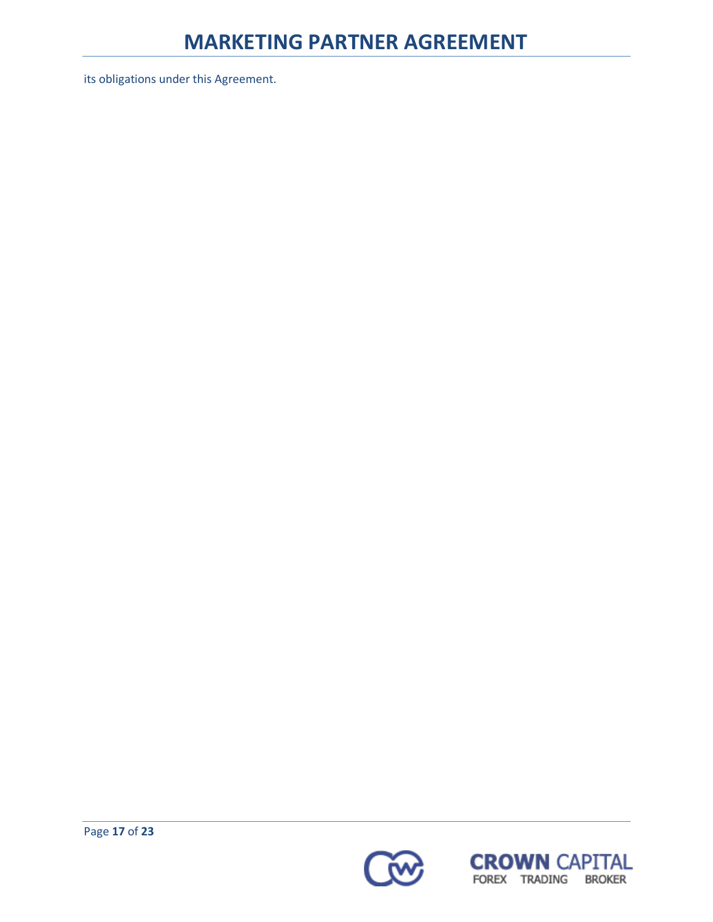its obligations under this Agreement.



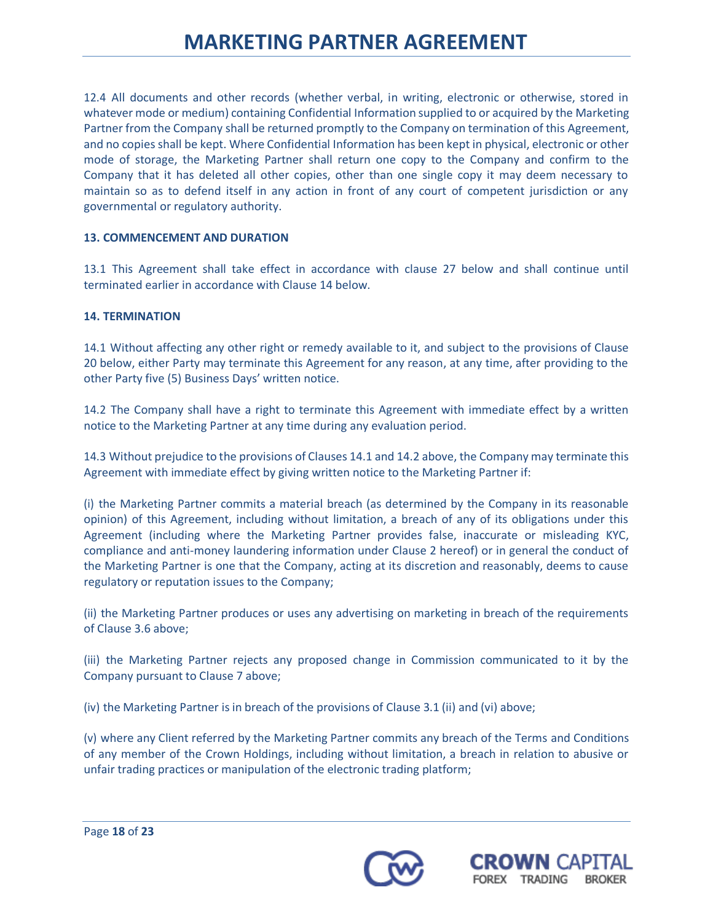12.4 All documents and other records (whether verbal, in writing, electronic or otherwise, stored in whatever mode or medium) containing Confidential Information supplied to or acquired by the Marketing Partner from the Company shall be returned promptly to the Company on termination of this Agreement, and no copies shall be kept. Where Confidential Information has been kept in physical, electronic or other mode of storage, the Marketing Partner shall return one copy to the Company and confirm to the Company that it has deleted all other copies, other than one single copy it may deem necessary to maintain so as to defend itself in any action in front of any court of competent jurisdiction or any governmental or regulatory authority.

## **13. COMMENCEMENT AND DURATION**

13.1 This Agreement shall take effect in accordance with clause 27 below and shall continue until terminated earlier in accordance with Clause 14 below.

## **14. TERMINATION**

14.1 Without affecting any other right or remedy available to it, and subject to the provisions of Clause 20 below, either Party may terminate this Agreement for any reason, at any time, after providing to the other Party five (5) Business Days' written notice.

14.2 The Company shall have a right to terminate this Agreement with immediate effect by a written notice to the Marketing Partner at any time during any evaluation period.

14.3 Without prejudice to the provisions of Clauses 14.1 and 14.2 above, the Company may terminate this Agreement with immediate effect by giving written notice to the Marketing Partner if:

(i) the Marketing Partner commits a material breach (as determined by the Company in its reasonable opinion) of this Agreement, including without limitation, a breach of any of its obligations under this Agreement (including where the Marketing Partner provides false, inaccurate or misleading KYC, compliance and anti-money laundering information under Clause 2 hereof) or in general the conduct of the Marketing Partner is one that the Company, acting at its discretion and reasonably, deems to cause regulatory or reputation issues to the Company;

(ii) the Marketing Partner produces or uses any advertising on marketing in breach of the requirements of Clause 3.6 above;

(iii) the Marketing Partner rejects any proposed change in Commission communicated to it by the Company pursuant to Clause 7 above;

(iv) the Marketing Partner is in breach of the provisions of Clause 3.1 (ii) and (vi) above;

(v) where any Client referred by the Marketing Partner commits any breach of the Terms and Conditions of any member of the Crown Holdings, including without limitation, a breach in relation to abusive or unfair trading practices or manipulation of the electronic trading platform;



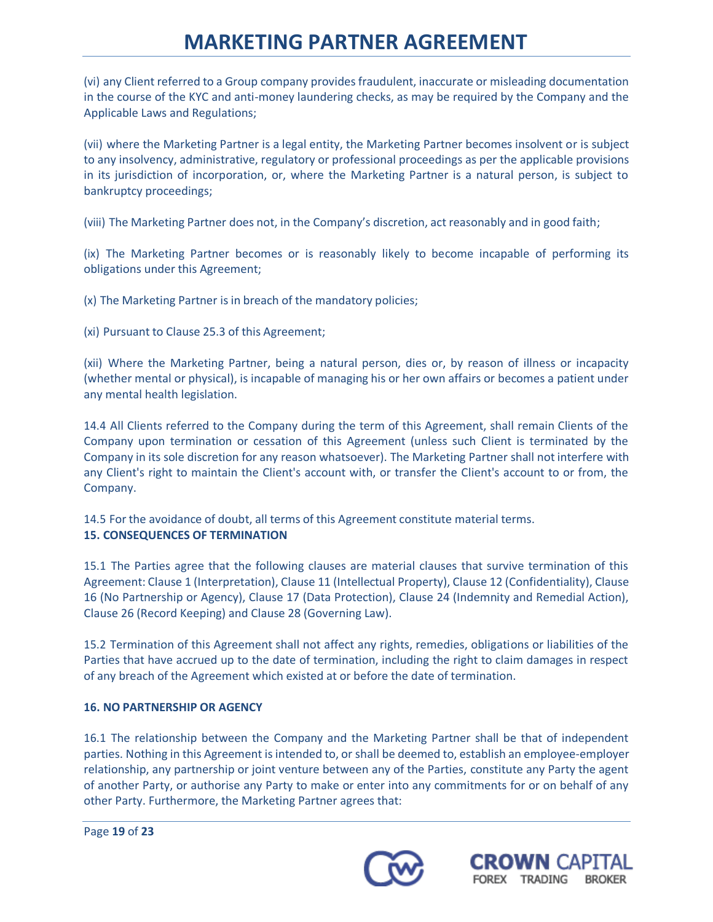(vi) any Client referred to a Group company provides fraudulent, inaccurate or misleading documentation in the course of the KYC and anti-money laundering checks, as may be required by the Company and the Applicable Laws and Regulations;

(vii) where the Marketing Partner is a legal entity, the Marketing Partner becomes insolvent or is subject to any insolvency, administrative, regulatory or professional proceedings as per the applicable provisions in its jurisdiction of incorporation, or, where the Marketing Partner is a natural person, is subject to bankruptcy proceedings;

(viii) The Marketing Partner does not, in the Company's discretion, act reasonably and in good faith;

(ix) The Marketing Partner becomes or is reasonably likely to become incapable of performing its obligations under this Agreement;

(x) The Marketing Partner is in breach of the mandatory policies;

(xi) Pursuant to Clause 25.3 of this Agreement;

(xii) Where the Marketing Partner, being a natural person, dies or, by reason of illness or incapacity (whether mental or physical), is incapable of managing his or her own affairs or becomes a patient under any mental health legislation.

14.4 All Clients referred to the Company during the term of this Agreement, shall remain Clients of the Company upon termination or cessation of this Agreement (unless such Client is terminated by the Company in its sole discretion for any reason whatsoever). The Marketing Partner shall not interfere with any Client's right to maintain the Client's account with, or transfer the Client's account to or from, the Company.

14.5 For the avoidance of doubt, all terms of this Agreement constitute material terms. **15. CONSEQUENCES OF TERMINATION**

15.1 The Parties agree that the following clauses are material clauses that survive termination of this Agreement: Clause 1 (Interpretation), Clause 11 (Intellectual Property), Clause 12 (Confidentiality), Clause 16 (No Partnership or Agency), Clause 17 (Data Protection), Clause 24 (Indemnity and Remedial Action), Clause 26 (Record Keeping) and Clause 28 (Governing Law).

15.2 Termination of this Agreement shall not affect any rights, remedies, obligations or liabilities of the Parties that have accrued up to the date of termination, including the right to claim damages in respect of any breach of the Agreement which existed at or before the date of termination.

## **16. NO PARTNERSHIP OR AGENCY**

16.1 The relationship between the Company and the Marketing Partner shall be that of independent parties. Nothing in this Agreement is intended to, or shall be deemed to, establish an employee-employer relationship, any partnership or joint venture between any of the Parties, constitute any Party the agent of another Party, or authorise any Party to make or enter into any commitments for or on behalf of any other Party. Furthermore, the Marketing Partner agrees that:



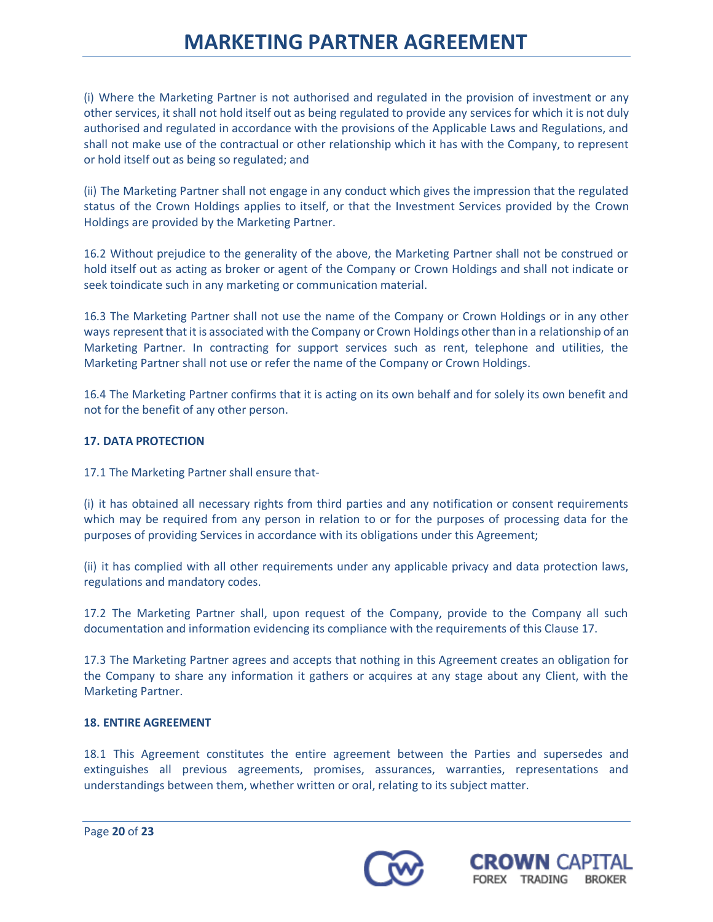(i) Where the Marketing Partner is not authorised and regulated in the provision of investment or any other services, it shall not hold itself out as being regulated to provide any services for which it is not duly authorised and regulated in accordance with the provisions of the Applicable Laws and Regulations, and shall not make use of the contractual or other relationship which it has with the Company, to represent or hold itself out as being so regulated; and

(ii) The Marketing Partner shall not engage in any conduct which gives the impression that the regulated status of the Crown Holdings applies to itself, or that the Investment Services provided by the Crown Holdings are provided by the Marketing Partner.

16.2 Without prejudice to the generality of the above, the Marketing Partner shall not be construed or hold itself out as acting as broker or agent of the Company or Crown Holdings and shall not indicate or seek toindicate such in any marketing or communication material.

16.3 The Marketing Partner shall not use the name of the Company or Crown Holdings or in any other ways represent that it is associated with the Company or Crown Holdings other than in a relationship of an Marketing Partner. In contracting for support services such as rent, telephone and utilities, the Marketing Partner shall not use or refer the name of the Company or Crown Holdings.

16.4 The Marketing Partner confirms that it is acting on its own behalf and for solely its own benefit and not for the benefit of any other person.

## **17. DATA PROTECTION**

17.1 The Marketing Partner shall ensure that-

(i) it has obtained all necessary rights from third parties and any notification or consent requirements which may be required from any person in relation to or for the purposes of processing data for the purposes of providing Services in accordance with its obligations under this Agreement;

(ii) it has complied with all other requirements under any applicable privacy and data protection laws, regulations and mandatory codes.

17.2 The Marketing Partner shall, upon request of the Company, provide to the Company all such documentation and information evidencing its compliance with the requirements of this Clause 17.

17.3 The Marketing Partner agrees and accepts that nothing in this Agreement creates an obligation for the Company to share any information it gathers or acquires at any stage about any Client, with the Marketing Partner.

### **18. ENTIRE AGREEMENT**

18.1 This Agreement constitutes the entire agreement between the Parties and supersedes and extinguishes all previous agreements, promises, assurances, warranties, representations and understandings between them, whether written or oral, relating to its subject matter.



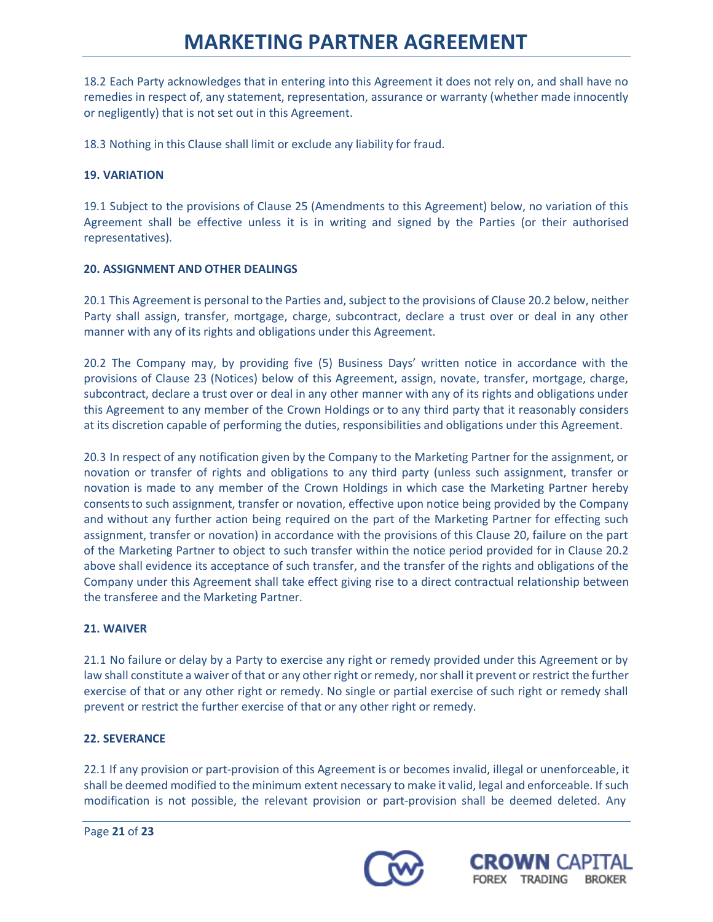18.2 Each Party acknowledges that in entering into this Agreement it does not rely on, and shall have no remedies in respect of, any statement, representation, assurance or warranty (whether made innocently or negligently) that is not set out in this Agreement.

18.3 Nothing in this Clause shall limit or exclude any liability for fraud.

## **19. VARIATION**

19.1 Subject to the provisions of Clause 25 (Amendments to this Agreement) below, no variation of this Agreement shall be effective unless it is in writing and signed by the Parties (or their authorised representatives).

## **20. ASSIGNMENT AND OTHER DEALINGS**

20.1 This Agreement is personal to the Parties and, subject to the provisions of Clause 20.2 below, neither Party shall assign, transfer, mortgage, charge, subcontract, declare a trust over or deal in any other manner with any of its rights and obligations under this Agreement.

20.2 The Company may, by providing five (5) Business Days' written notice in accordance with the provisions of Clause 23 (Notices) below of this Agreement, assign, novate, transfer, mortgage, charge, subcontract, declare a trust over or deal in any other manner with any of its rights and obligations under this Agreement to any member of the Crown Holdings or to any third party that it reasonably considers at its discretion capable of performing the duties, responsibilities and obligations under this Agreement.

20.3 In respect of any notification given by the Company to the Marketing Partner for the assignment, or novation or transfer of rights and obligations to any third party (unless such assignment, transfer or novation is made to any member of the Crown Holdings in which case the Marketing Partner hereby consentsto such assignment, transfer or novation, effective upon notice being provided by the Company and without any further action being required on the part of the Marketing Partner for effecting such assignment, transfer or novation) in accordance with the provisions of this Clause 20, failure on the part of the Marketing Partner to object to such transfer within the notice period provided for in Clause 20.2 above shall evidence its acceptance of such transfer, and the transfer of the rights and obligations of the Company under this Agreement shall take effect giving rise to a direct contractual relationship between the transferee and the Marketing Partner.

### **21. WAIVER**

21.1 No failure or delay by a Party to exercise any right or remedy provided under this Agreement or by law shall constitute a waiver of that or any other right or remedy, nor shall it prevent or restrict the further exercise of that or any other right or remedy. No single or partial exercise of such right or remedy shall prevent or restrict the further exercise of that or any other right or remedy.

### **22. SEVERANCE**

22.1 If any provision or part-provision of this Agreement is or becomes invalid, illegal or unenforceable, it shall be deemed modified to the minimum extent necessary to make it valid, legal and enforceable. If such modification is not possible, the relevant provision or part-provision shall be deemed deleted. Any



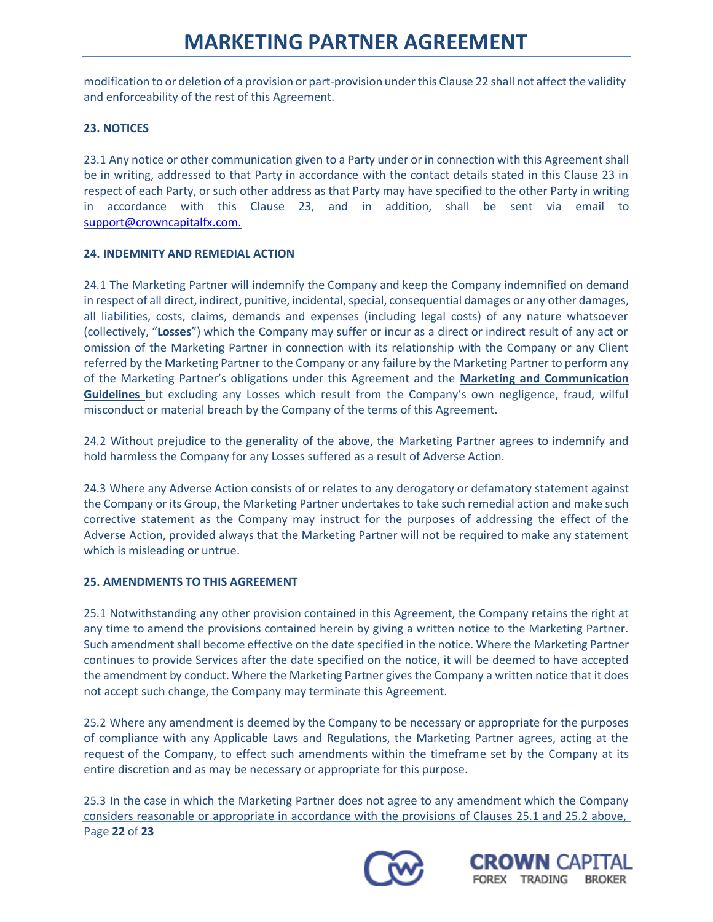modification to or deletion of a provision or part-provision under this Clause 22 shall not affect the validity and enforceability of the rest of this Agreement.

## **23. NOTICES**

23.1 Any notice or other communication given to a Party under or in connection with this Agreement shall be in writing, addressed to that Party in accordance with the contact details stated in this Clause 23 in respect of each Party, or such other address as that Party may have specified to the other Party in writing in accordance with this Clause 23, and in addition, shall be sent via email to [support@crowncapitalfx.com.](mailto:support@crowncapitalfx.com.)

### **24. INDEMNITY AND REMEDIAL ACTION**

24.1 The Marketing Partner will indemnify the Company and keep the Company indemnified on demand in respect of all direct, indirect, punitive, incidental, special, consequential damages or any other damages, all liabilities, costs, claims, demands and expenses (including legal costs) of any nature whatsoever (collectively, "**Losses**") which the Company may suffer or incur as a direct or indirect result of any act or omission of the Marketing Partner in connection with its relationship with the Company or any Client referred by the Marketing Partner to the Company or any failure by the Marketing Partner to perform any of the Marketing Partner's obligations under this Agreement and the **Marketing and Communication Guidelines** but excluding any Losses which result from the Company's own negligence, fraud, wilful misconduct or material breach by the Company of the terms of this Agreement.

24.2 Without prejudice to the generality of the above, the Marketing Partner agrees to indemnify and hold harmless the Company for any Losses suffered as a result of Adverse Action.

24.3 Where any Adverse Action consists of or relates to any derogatory or defamatory statement against the Company or its Group, the Marketing Partner undertakes to take such remedial action and make such corrective statement as the Company may instruct for the purposes of addressing the effect of the Adverse Action, provided always that the Marketing Partner will not be required to make any statement which is misleading or untrue.

### **25. AMENDMENTS TO THIS AGREEMENT**

25.1 Notwithstanding any other provision contained in this Agreement, the Company retains the right at any time to amend the provisions contained herein by giving a written notice to the Marketing Partner. Such amendment shall become effective on the date specified in the notice. Where the Marketing Partner continues to provide Services after the date specified on the notice, it will be deemed to have accepted the amendment by conduct. Where the Marketing Partner gives the Company a written notice that it does not accept such change, the Company may terminate this Agreement.

25.2 Where any amendment is deemed by the Company to be necessary or appropriate for the purposes of compliance with any Applicable Laws and Regulations, the Marketing Partner agrees, acting at the request of the Company, to effect such amendments within the timeframe set by the Company at its entire discretion and as may be necessary or appropriate for this purpose.

Page **22** of **23** 25.3 In the case in which the Marketing Partner does not agree to any amendment which the Company considers reasonable or appropriate in accordance with the provisions of Clauses 25.1 and 25.2 above,



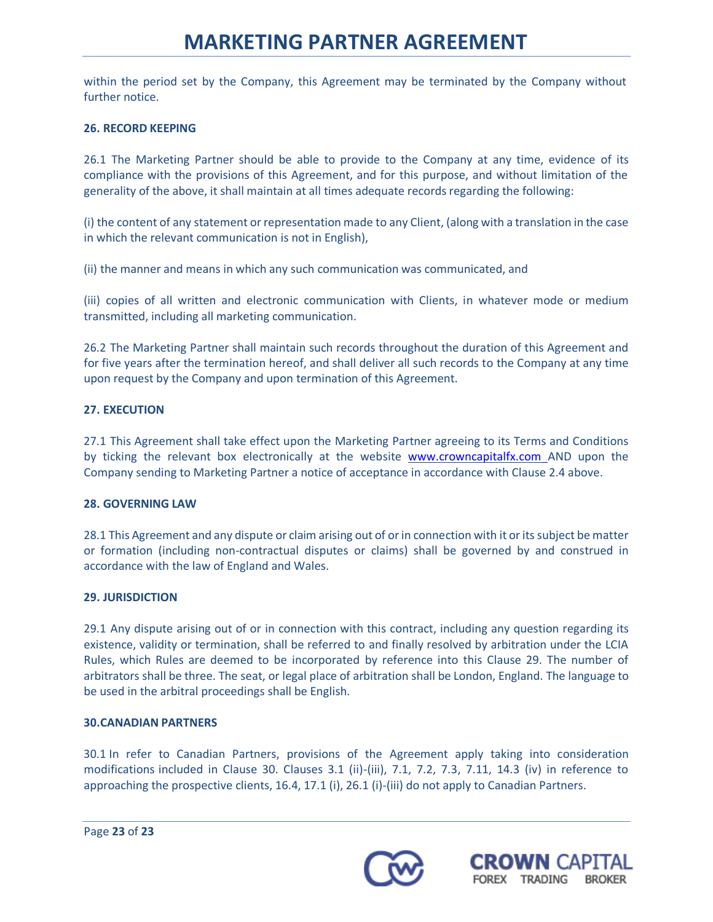within the period set by the Company, this Agreement may be terminated by the Company without further notice.

## **26. RECORD KEEPING**

26.1 The Marketing Partner should be able to provide to the Company at any time, evidence of its compliance with the provisions of this Agreement, and for this purpose, and without limitation of the generality of the above, it shall maintain at all times adequate recordsregarding the following:

(i) the content of any statement or representation made to any Client, (along with a translation in the case in which the relevant communication is not in English),

(ii) the manner and means in which any such communication was communicated, and

(iii) copies of all written and electronic communication with Clients, in whatever mode or medium transmitted, including all marketing communication.

26.2 The Marketing Partner shall maintain such records throughout the duration of this Agreement and for five years after the termination hereof, and shall deliver all such records to the Company at any time upon request by the Company and upon termination of this Agreement.

## **27. EXECUTION**

27.1 This Agreement shall take effect upon the Marketing Partner agreeing to its Terms and Conditions by ticking the relevant box electronically at the website [www.crowncapitalfx.com](http://www.crowncapitalfx.com/) AND upon the Company sending to Marketing Partner a notice of acceptance in accordance with Clause 2.4 above.

### **28. GOVERNING LAW**

28.1 This Agreement and any dispute or claim arising out of or in connection with it orits subject be matter or formation (including non-contractual disputes or claims) shall be governed by and construed in accordance with the law of England and Wales.

### **29. JURISDICTION**

29.1 Any dispute arising out of or in connection with this contract, including any question regarding its existence, validity or termination, shall be referred to and finally resolved by arbitration under the LCIA Rules, which Rules are deemed to be incorporated by reference into this Clause 29. The number of arbitrators shall be three. The seat, or legal place of arbitration shall be London, England. The language to be used in the arbitral proceedings shall be English.

### **30.CANADIAN PARTNERS**

30.1 In refer to Canadian Partners, provisions of the Agreement apply taking into consideration modifications included in Clause 30. Clauses 3.1 (ii)-(iii), 7.1, 7.2, 7.3, 7.11, 14.3 (iv) in reference to approaching the prospective clients, 16.4, 17.1 (i), 26.1 (i)-(iii) do not apply to Canadian Partners.